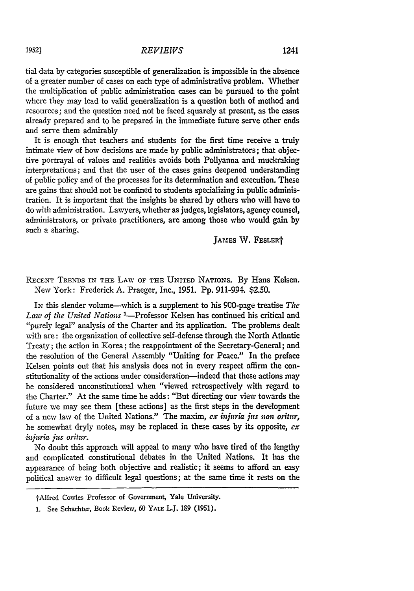tial data **by** categories susceptible of generalization is impossible in the absence of a greater number of cases on each type of administrative problem. Whether the multiplication of public administration cases can be pursued to the point where they may lead to valid generalization is a question both of method and resources; and the question need not be faced squarely at present, as the cases already prepared and to be prepared in the immediate future serve other ends and serve them admirably

It is enough that teachers and students for the first time receive a truly intimate view of how decisions are made by public administrators; that objective portrayal of values and realities avoids both Pollyanna and muckraking interpretations; and that the user of the cases gains deepened understanding of public policy and of the processes for its determination and execution. These are gains that should not be confined to students specializing in public administration. It is important that the insights be shared by others who will have to do with administration. Lawyers, whether as judges, legislators, agency counsel, administrators, or private practitioners, are among those who would gain by such a sharing.

JAMES W. FESLER<sup>†</sup>

**RECENT** TRENDS **IN THE** LAW **OF THE** UNITED NATIONS. **By** Hans Kelsen. New York: Frederick A. Praeger, Inc., 1951. Pp. 911-994. \$2.50.

IN this slender volume-which is a supplement to his 900-page treatise *The* Law of the United Nations<sup>1</sup>-Professor Kelsen has continued his critical and "purely legal" analysis of the Charter and its application. The problems dealt with are: the organization of collective self-defense through the North Atlantic Treaty; the action in Korea; the reappointment of the Secretary-General; and the resolution of the General Assembly "Uniting for Peace." In the preface Kelsen points out that his analysis does not in every respect affirm the constitutionality of the actions under consideration—indeed that these actions may be considered unconstitutional when "viewed retrospectively With regard to the Charter." At the same time he adds: "But directing our view towards the future we may see them [these actions] as the first steps in the development of a new law of the United Nations." The maxim, *cx injuria jus von oritur,* he somewhat dryly notes, may be replaced in these cases by its opposite, *ex iznjuria jus oritur.*

No doubt this approach will appeal to many who have tired of the lengthy and complicated constitutional debates in the United Nations. It has the appearance of being both objective and realistic; it seems to afford an easy political answer to difficult legal questions; at the same time it rests on the

**19521**

tAlfred Cowles Professor of Government, Yale University.

<sup>1.</sup> See Schachter, Book Review, 60 YALE L.J. 189 (1951).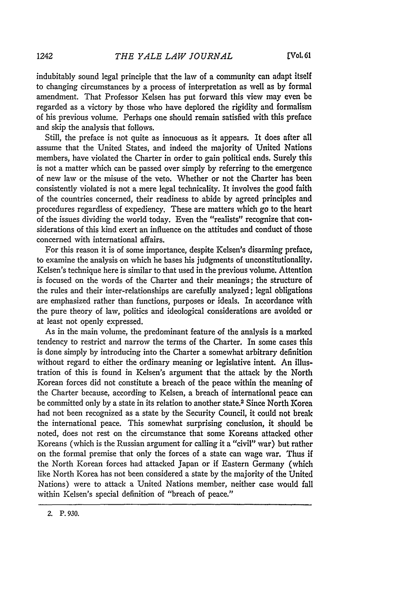indubitably sound legal principle that the law of a community can adapt itself to changing circumstances **by** a process of interpretation as well as **by** formal amendment. That Professor Kelsen has put forward this view may even be regarded as a victory **by** those who have deplored the rigidity and formalism of his previous volume. Perhaps one should remain satisfied with this preface and skip the analysis that follows.

Still, the preface is not quite as innocuous as it appears. It does after all assume that the United States, and indeed the majority of United Nations members, have violated the Charter in order to gain political ends. Surely this is not a matter which can be passed over simply **by** referring to the emergence of new law or the misuse of the veto. Whether or not the Charter has been consistently violated is not a mere legal technicality. It involves the good faith of the countries concerned, their readiness to abide **by** agreed principles and procedures regardless of expediency. These are matters which go to the heart of the issues dividing the world today. Even the "realists" recognize that considerations of this kind exert an influence on the attitudes and conduct of those concerned with international affairs.

For this reason it is of some importance, despite Kelsen's disarming preface, to examine the analysis on which he bases his judgments of unconstitutionality. Kelsen's technique here is similar to that used in the previous volume. Attention is focused on the words of the Charter and their meanings; the structure of the rules and their inter-relationships are carefully analyzed; legal obligations are emphasized rather than functions, purposes or ideals. In accordance with the pure theory of law, politics and ideological considerations are avoided or at least not openly expressed.

As in the main volume, the predominant feature of the analysis is a marked tendency to restrict and narrow the terms of the Charter. In some cases this is done simply **by** introducing into the Charter a somewhat arbitrary definition without regard to either the ordinary meaning or legislative intent. An illustration of this is found in Kelsen's argument that the attack by the North Korean forces did not constitute a breach of the peace within the meaning of the Charter because, according to Kelsen, a breach of international peace can be committed only by a state in its relation to another state.2 Since North Korea had not been recognized as a state by the Security Council, it could not break the international peace. This somewhat surprising conclusion, it should be noted, does not rest on the circumstance that some Koreans attacked other Koreans (which is the Russian argument for calling it a "civil" war) but rather on the formal premise that only the forces of a state can wage war. Thus if the North Korean forces had attacked Japan or if Eastern Germany (which like North Korea has not been considered a state by the majority of the United Nations) were to attack a United Nations member, neither case would fall within Kelsen's special definition of "breach of peace."